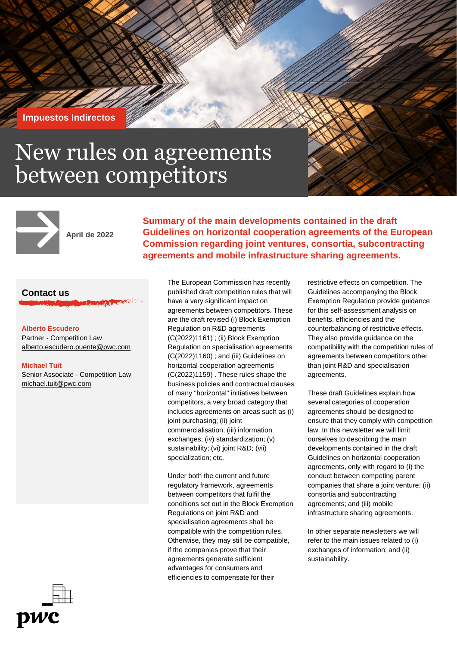**Impuestos Indirectos**

# New rules on agreements between competitors



**April de 2022**

**Summary of the main developments contained in the draft Guidelines on horizontal cooperation agreements of the European Commission regarding joint ventures, consortia, subcontracting agreements and mobile infrastructure sharing agreements.**

## **Contact us**

#### **Alberto Escudero** Partner - Competition Law

[alberto.escudero.puente@pwc.com](mailto:alberto.escudero.puente@pwc.com)

#### **Michael Tuit**

Senior Associate - Competition Law michael.tuit@pwc.com

have a very significant impact on agreements between competitors. These are the draft revised (i) Block Exemption Regulation on R&D agreements (C(2022)1161) ; (ii) Block Exemption Regulation on specialisation agreements (C(2022)1160) ; and (iii) Guidelines on horizontal cooperation agreements (C(2022)1159) . These rules shape the business policies and contractual clauses of many "horizontal" initiatives between competitors, a very broad category that includes agreements on areas such as (i) joint purchasing; (ii) joint commercialisation; (iii) information exchanges; (iv) standardization; (v) sustainability; (vi) joint R&D; (vii) specialization; etc.

The European Commission has recently published draft competition rules that will

Under both the current and future regulatory framework, agreements between competitors that fulfil the conditions set out in the Block Exemption Regulations on joint R&D and specialisation agreements shall be compatible with the competition rules. Otherwise, they may still be compatible, if the companies prove that their agreements generate sufficient advantages for consumers and efficiencies to compensate for their

restrictive effects on competition. The Guidelines accompanying the Block Exemption Regulation provide guidance for this self-assessment analysis on benefits, efficiencies and the counterbalancing of restrictive effects. They also provide guidance on the compatibility with the competition rules of agreements between competitors other than joint R&D and specialisation agreements.

These draft Guidelines explain how several categories of cooperation agreements should be designed to ensure that they comply with competition law. In this newsletter we will limit ourselves to describing the main developments contained in the draft Guidelines on horizontal cooperation agreements, only with regard to (i) the conduct between competing parent companies that share a joint venture; (ii) consortia and subcontracting agreements; and (iii) mobile infrastructure sharing agreements.

In other separate newsletters we will refer to the main issues related to (i) exchanges of information; and (ii) sustainability.

DWC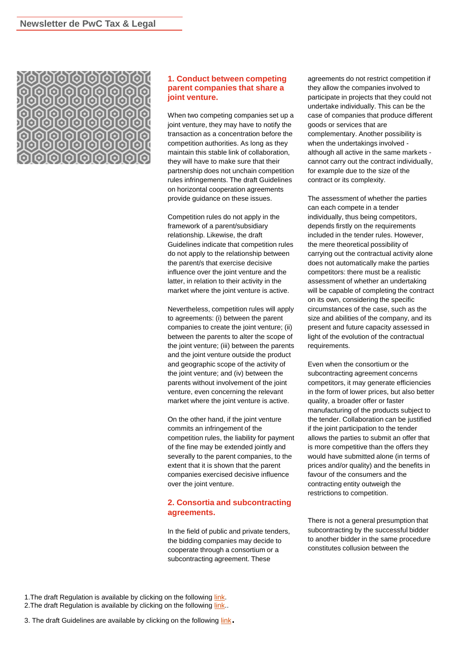

#### **1. Conduct between competing parent companies that share a joint venture.**

When two competing companies set up a joint venture, they may have to notify the transaction as a concentration before the competition authorities. As long as they maintain this stable link of collaboration, they will have to make sure that their partnership does not unchain competition rules infringements. The draft Guidelines on horizontal cooperation agreements provide guidance on these issues.

Competition rules do not apply in the framework of a parent/subsidiary relationship. Likewise, the draft Guidelines indicate that competition rules do not apply to the relationship between the parent/s that exercise decisive influence over the joint venture and the latter, in relation to their activity in the market where the joint venture is active.

Nevertheless, competition rules will apply to agreements: (i) between the parent companies to create the joint venture; (ii) between the parents to alter the scope of the joint venture; (iii) between the parents and the joint venture outside the product and geographic scope of the activity of the joint venture; and (iv) between the parents without involvement of the joint venture, even concerning the relevant market where the joint venture is active.

On the other hand, if the joint venture commits an infringement of the competition rules, the liability for payment of the fine may be extended jointly and severally to the parent companies, to the extent that it is shown that the parent companies exercised decisive influence over the joint venture.

## **2. Consortia and subcontracting agreements.**

In the field of public and private tenders, the bidding companies may decide to cooperate through a consortium or a subcontracting agreement. These

agreements do not restrict competition if they allow the companies involved to participate in projects that they could not undertake individually. This can be the case of companies that produce different goods or services that are complementary. Another possibility is when the undertakings involved although all active in the same markets cannot carry out the contract individually, for example due to the size of the contract or its complexity.

The assessment of whether the parties can each compete in a tender individually, thus being competitors, depends firstly on the requirements included in the tender rules. However, the mere theoretical possibility of carrying out the contractual activity alone does not automatically make the parties competitors: there must be a realistic assessment of whether an undertaking will be capable of completing the contract on its own, considering the specific circumstances of the case, such as the size and abilities of the company, and its present and future capacity assessed in light of the evolution of the contractual requirements.

Even when the consortium or the subcontracting agreement concerns competitors, it may generate efficiencies in the form of lower prices, but also better quality, a broader offer or faster manufacturing of the products subject to the tender. Collaboration can be justified if the joint participation to the tender allows the parties to submit an offer that is more competitive than the offers they would have submitted alone (in terms of prices and/or quality) and the benefits in favour of the consumers and the contracting entity outweigh the restrictions to competition.

There is not a general presumption that subcontracting by the successful bidder to another bidder in the same procedure constitutes collusion between the

1. The draft Regulation is available by clicking on the following [link](https://eur-lex.europa.eu/legal-content/EN/TXT/?uri=CELEX:52022XC0315(02)). 2. The draft Regulation is available by clicking on the following [link](https://eur-lex.europa.eu/legal-content/EN/TXT/PDF/?uri=CELEX:52022XC0315(01)&from=ES)..